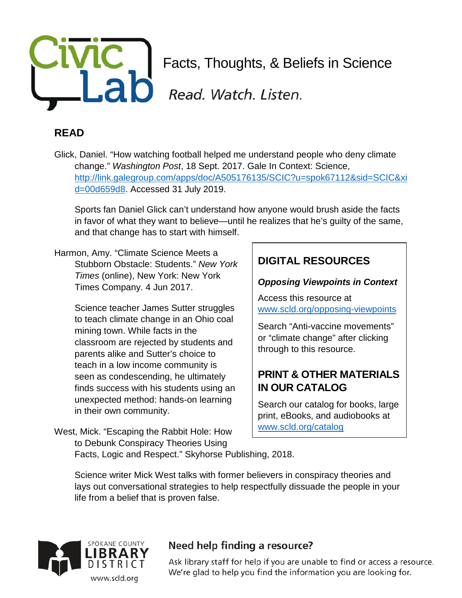

### **READ**

Glick, Daniel. "How watching football helped me understand people who deny climate change." *Washington Post*, 18 Sept. 2017. Gale In Context: Science, [http://link.galegroup.com/apps/doc/A505176135/SCIC?u=spok67112&sid=SCIC&xi](http://link.galegroup.com/apps/doc/A505176135/SCIC?u=spok67112&sid=SCIC&xid=00d659d8) [d=00d659d8.](http://link.galegroup.com/apps/doc/A505176135/SCIC?u=spok67112&sid=SCIC&xid=00d659d8) Accessed 31 July 2019.

Sports fan Daniel Glick can't understand how anyone would brush aside the facts in favor of what they want to believe—until he realizes that he's guilty of the same, and that change has to start with himself.

Harmon, Amy. "Climate Science Meets a Stubborn Obstacle: Students." *New York Times* (online), New York: New York Times Company. 4 Jun 2017.

> Science teacher James Sutter struggles to teach climate change in an Ohio coal mining town. While facts in the classroom are rejected by students and parents alike and Sutter's choice to teach in a low income community is seen as condescending, he ultimately finds success with his students using an unexpected method: hands-on learning in their own community.

# **DIGITAL RESOURCES**

#### *Opposing Viewpoints in Context*

Access this resource at [www.scld.org/opposing-viewpoints](http://www.scld.org/opposing-viewpoints)

Search "Anti-vaccine movements" or "climate change" after clicking through to this resource.

## **PRINT & OTHER MATERIALS IN OUR CATALOG**

Search our catalog for books, large print, eBooks, and audiobooks at www.scld.org/catalog

West, Mick. "Escaping the Rabbit Hole: How to Debunk Conspiracy Theories Using Facts, Logic and Respect." Skyhorse Publishing, 2018.

Science writer Mick West talks with former believers in conspiracy theories and lays out conversational strategies to help respectfully dissuade the people in your life from a belief that is proven false.



# Need help finding a resource?

Ask library staff for help if you are unable to find or access a resource. We're glad to help you find the information you are looking for.